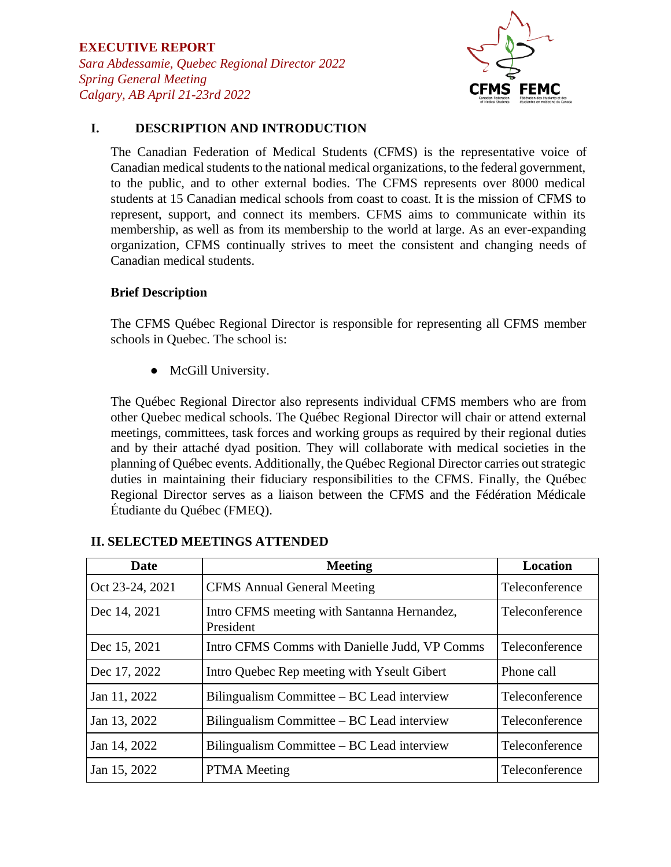

### **I. DESCRIPTION AND INTRODUCTION**

The Canadian Federation of Medical Students (CFMS) is the representative voice of Canadian medical students to the national medical organizations, to the federal government, to the public, and to other external bodies. The CFMS represents over 8000 medical students at 15 Canadian medical schools from coast to coast. It is the mission of CFMS to represent, support, and connect its members. CFMS aims to communicate within its membership, as well as from its membership to the world at large. As an ever-expanding organization, CFMS continually strives to meet the consistent and changing needs of Canadian medical students.

### **Brief Description**

The CFMS Québec Regional Director is responsible for representing all CFMS member schools in Quebec. The school is:

● McGill University.

The Québec Regional Director also represents individual CFMS members who are from other Quebec medical schools. The Québec Regional Director will chair or attend external meetings, committees, task forces and working groups as required by their regional duties and by their attaché dyad position. They will collaborate with medical societies in the planning of Québec events. Additionally, the Québec Regional Director carries out strategic duties in maintaining their fiduciary responsibilities to the CFMS. Finally, the Québec Regional Director serves as a liaison between the CFMS and the Fédération Médicale Étudiante du Québec (FMEQ).

| Date            | <b>Meeting</b>                                           | Location       |
|-----------------|----------------------------------------------------------|----------------|
| Oct 23-24, 2021 | <b>CFMS</b> Annual General Meeting                       | Teleconference |
| Dec 14, 2021    | Intro CFMS meeting with Santanna Hernandez,<br>President | Teleconference |
| Dec 15, 2021    | Intro CFMS Comms with Danielle Judd, VP Comms            | Teleconference |
| Dec 17, 2022    | Intro Quebec Rep meeting with Yseult Gibert              | Phone call     |
| Jan 11, 2022    | Bilingualism Committee – BC Lead interview               | Teleconference |
| Jan 13, 2022    | Bilingualism Committee – BC Lead interview               | Teleconference |
| Jan 14, 2022    | Bilingualism Committee – BC Lead interview               | Teleconference |
| Jan 15, 2022    | <b>PTMA</b> Meeting                                      | Teleconference |

### **II. SELECTED MEETINGS ATTENDED**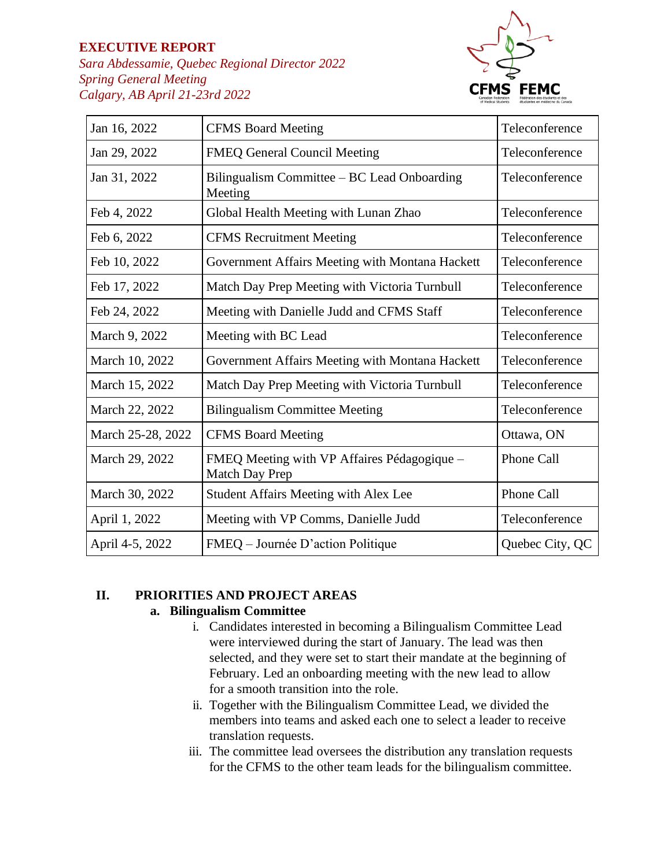### **EXECUTIVE REPORT**

*Sara Abdessamie, Quebec Regional Director 2022 Spring General Meeting Calgary, AB April 21-23rd 2022*



| Jan 16, 2022      | <b>CFMS Board Meeting</b>                                     | Teleconference  |
|-------------------|---------------------------------------------------------------|-----------------|
| Jan 29, 2022      | <b>FMEQ General Council Meeting</b>                           | Teleconference  |
| Jan 31, 2022      | Bilingualism Committee – BC Lead Onboarding<br>Meeting        | Teleconference  |
| Feb 4, 2022       | Global Health Meeting with Lunan Zhao                         | Teleconference  |
| Feb 6, 2022       | <b>CFMS</b> Recruitment Meeting                               | Teleconference  |
| Feb 10, 2022      | Government Affairs Meeting with Montana Hackett               | Teleconference  |
| Feb 17, 2022      | Match Day Prep Meeting with Victoria Turnbull                 | Teleconference  |
| Feb 24, 2022      | Meeting with Danielle Judd and CFMS Staff                     | Teleconference  |
| March 9, 2022     | Meeting with BC Lead                                          | Teleconference  |
| March 10, 2022    | Government Affairs Meeting with Montana Hackett               | Teleconference  |
| March 15, 2022    | Match Day Prep Meeting with Victoria Turnbull                 | Teleconference  |
| March 22, 2022    | <b>Bilingualism Committee Meeting</b>                         | Teleconference  |
| March 25-28, 2022 | <b>CFMS Board Meeting</b>                                     | Ottawa, ON      |
| March 29, 2022    | FMEQ Meeting with VP Affaires Pédagogique -<br>Match Day Prep | Phone Call      |
| March 30, 2022    | <b>Student Affairs Meeting with Alex Lee</b>                  | Phone Call      |
| April 1, 2022     | Meeting with VP Comms, Danielle Judd                          | Teleconference  |
| April 4-5, 2022   | FMEQ – Journée D'action Politique                             | Quebec City, QC |

# **II. PRIORITIES AND PROJECT AREAS**

### **a. Bilingualism Committee**

- i. Candidates interested in becoming a Bilingualism Committee Lead were interviewed during the start of January. The lead was then selected, and they were set to start their mandate at the beginning of February. Led an onboarding meeting with the new lead to allow for a smooth transition into the role.
- ii. Together with the Bilingualism Committee Lead, we divided the members into teams and asked each one to select a leader to receive translation requests.
- iii. The committee lead oversees the distribution any translation requests for the CFMS to the other team leads for the bilingualism committee.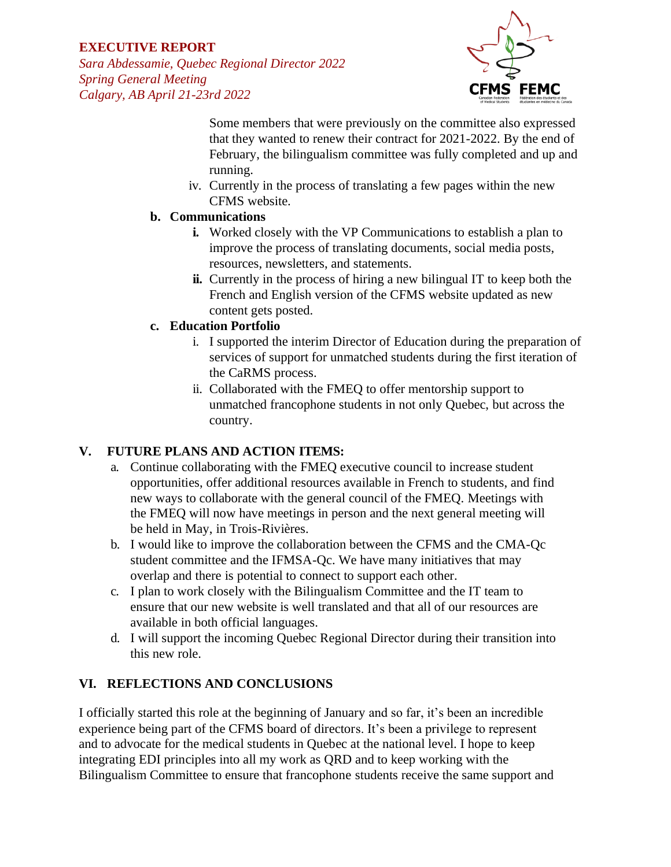# **EXECUTIVE REPORT**

*Sara Abdessamie, Quebec Regional Director 2022 Spring General Meeting Calgary, AB April 21-23rd 2022*



Some members that were previously on the committee also expressed that they wanted to renew their contract for 2021-2022. By the end of February, the bilingualism committee was fully completed and up and running.

iv. Currently in the process of translating a few pages within the new CFMS website.

### **b. Communications**

- **i.** Worked closely with the VP Communications to establish a plan to improve the process of translating documents, social media posts, resources, newsletters, and statements.
- **ii.** Currently in the process of hiring a new bilingual IT to keep both the French and English version of the CFMS website updated as new content gets posted.

### **c. Education Portfolio**

- i. I supported the interim Director of Education during the preparation of services of support for unmatched students during the first iteration of the CaRMS process.
- ii. Collaborated with the FMEQ to offer mentorship support to unmatched francophone students in not only Quebec, but across the country.

# **V. FUTURE PLANS AND ACTION ITEMS:**

- a. Continue collaborating with the FMEQ executive council to increase student opportunities, offer additional resources available in French to students, and find new ways to collaborate with the general council of the FMEQ. Meetings with the FMEQ will now have meetings in person and the next general meeting will be held in May, in Trois-Rivières.
- b. I would like to improve the collaboration between the CFMS and the CMA-Qc student committee and the IFMSA-Qc. We have many initiatives that may overlap and there is potential to connect to support each other.
- c. I plan to work closely with the Bilingualism Committee and the IT team to ensure that our new website is well translated and that all of our resources are available in both official languages.
- d. I will support the incoming Quebec Regional Director during their transition into this new role.

# **VI. REFLECTIONS AND CONCLUSIONS**

I officially started this role at the beginning of January and so far, it's been an incredible experience being part of the CFMS board of directors. It's been a privilege to represent and to advocate for the medical students in Quebec at the national level. I hope to keep integrating EDI principles into all my work as QRD and to keep working with the Bilingualism Committee to ensure that francophone students receive the same support and